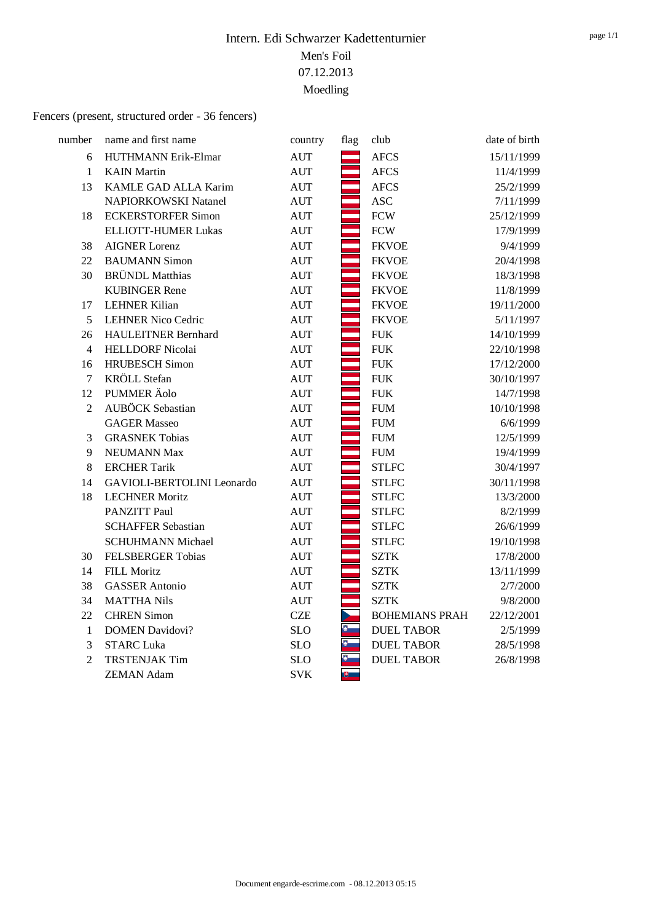# Fencers (present, structured order - 36 fencers)

| number         | name and first name        | country                          | flag | club                  | date of birth |
|----------------|----------------------------|----------------------------------|------|-----------------------|---------------|
| 6              | HUTHMANN Erik-Elmar        | <b>AUT</b>                       |      | <b>AFCS</b>           | 15/11/1999    |
| $\mathbf{1}$   | <b>KAIN</b> Martin         | <b>AUT</b>                       |      | <b>AFCS</b>           | 11/4/1999     |
| 13             | KAMLE GAD ALLA Karim       | <b>AUT</b>                       |      | <b>AFCS</b>           | 25/2/1999     |
|                | NAPIORKOWSKI Natanel       | <b>AUT</b>                       |      | <b>ASC</b>            | 7/11/1999     |
| 18             | <b>ECKERSTORFER Simon</b>  | <b>AUT</b>                       |      | <b>FCW</b>            | 25/12/1999    |
|                | <b>ELLIOTT-HUMER Lukas</b> | $\mathop{\rm AUT}$               |      | ${\mbox{FCW}}$        | 17/9/1999     |
| 38             | <b>AIGNER Lorenz</b>       | <b>AUT</b>                       |      | <b>FKVOE</b>          | 9/4/1999      |
| 22             | <b>BAUMANN Simon</b>       | $\mathop{\rm AUT}$               |      | <b>FKVOE</b>          | 20/4/1998     |
| 30             | <b>BRÜNDL</b> Matthias     | <b>AUT</b>                       |      | <b>FKVOE</b>          | 18/3/1998     |
|                | <b>KUBINGER Rene</b>       | <b>AUT</b>                       |      | <b>FKVOE</b>          | 11/8/1999     |
| 17             | <b>LEHNER Kilian</b>       | <b>AUT</b>                       |      | <b>FKVOE</b>          | 19/11/2000    |
| 5              | <b>LEHNER Nico Cedric</b>  | <b>AUT</b>                       |      | <b>FKVOE</b>          | 5/11/1997     |
| 26             | <b>HAULEITNER Bernhard</b> | <b>AUT</b>                       |      | <b>FUK</b>            | 14/10/1999    |
| $\overline{4}$ | <b>HELLDORF Nicolai</b>    | $\mathop{\rm AUT}$               |      | ${\rm FUK}$           | 22/10/1998    |
| 16             | <b>HRUBESCH</b> Simon      | <b>AUT</b>                       |      | <b>FUK</b>            | 17/12/2000    |
| 7              | <b>KRÖLL</b> Stefan        | $\mathop{\rm AUT}$               |      | ${\rm FUK}$           | 30/10/1997    |
| 12             | PUMMER Äolo                | <b>AUT</b>                       |      | <b>FUK</b>            | 14/7/1998     |
| $\overline{2}$ | AUBÖCK Sebastian           | $\mathop{\rm AUT}$               |      | ${\rm FUM}$           | 10/10/1998    |
|                | <b>GAGER Masseo</b>        | $\mathop{\rm AUT}$               |      | ${\rm FUM}$           | 6/6/1999      |
| 3              | <b>GRASNEK Tobias</b>      | <b>AUT</b>                       |      | <b>FUM</b>            | 12/5/1999     |
| 9              | NEUMANN Max                | <b>AUT</b>                       |      | <b>FUM</b>            | 19/4/1999     |
| 8              | <b>ERCHER Tarik</b>        | <b>AUT</b>                       |      | <b>STLFC</b>          | 30/4/1997     |
| 14             | GAVIOLI-BERTOLINI Leonardo | $\mathop{\rm AUT}$               |      | <b>STLFC</b>          | 30/11/1998    |
| 18             | <b>LECHNER Moritz</b>      | $\mathop{\rm AUT}$               |      | <b>STLFC</b>          | 13/3/2000     |
|                | PANZITT Paul               | <b>AUT</b>                       |      | <b>STLFC</b>          | 8/2/1999      |
|                | <b>SCHAFFER Sebastian</b>  | <b>AUT</b>                       |      | <b>STLFC</b>          | 26/6/1999     |
|                | <b>SCHUHMANN Michael</b>   | $\mathop{\rm AUT}$               |      | <b>STLFC</b>          | 19/10/1998    |
| 30             | <b>FELSBERGER Tobias</b>   | $\mathop{\rm AUT}$               |      | <b>SZTK</b>           | 17/8/2000     |
| 14             | FILL Moritz                | <b>AUT</b>                       |      | <b>SZTK</b>           | 13/11/1999    |
| 38             | <b>GASSER</b> Antonio      | $\mathbf{A}\mathbf{U}\mathbf{T}$ |      | <b>SZTK</b>           | 2/7/2000      |
| 34             | <b>MATTHA Nils</b>         | <b>AUT</b>                       |      | <b>SZTK</b>           | 9/8/2000      |
| 22             | <b>CHREN</b> Simon         | CZE                              |      | <b>BOHEMIANS PRAH</b> | 22/12/2001    |
| $\mathbf{1}$   | <b>DOMEN Davidovi?</b>     | SLO                              | Ŗ.   | <b>DUEL TABOR</b>     | 2/5/1999      |
| 3              | <b>STARC Luka</b>          | <b>SLO</b>                       |      | <b>DUEL TABOR</b>     | 28/5/1998     |
| $\overline{c}$ | <b>TRSTENJAK Tim</b>       | <b>SLO</b>                       | Đ.   | <b>DUEL TABOR</b>     | 26/8/1998     |
|                | <b>ZEMAN Adam</b>          | <b>SVK</b>                       | 哯    |                       |               |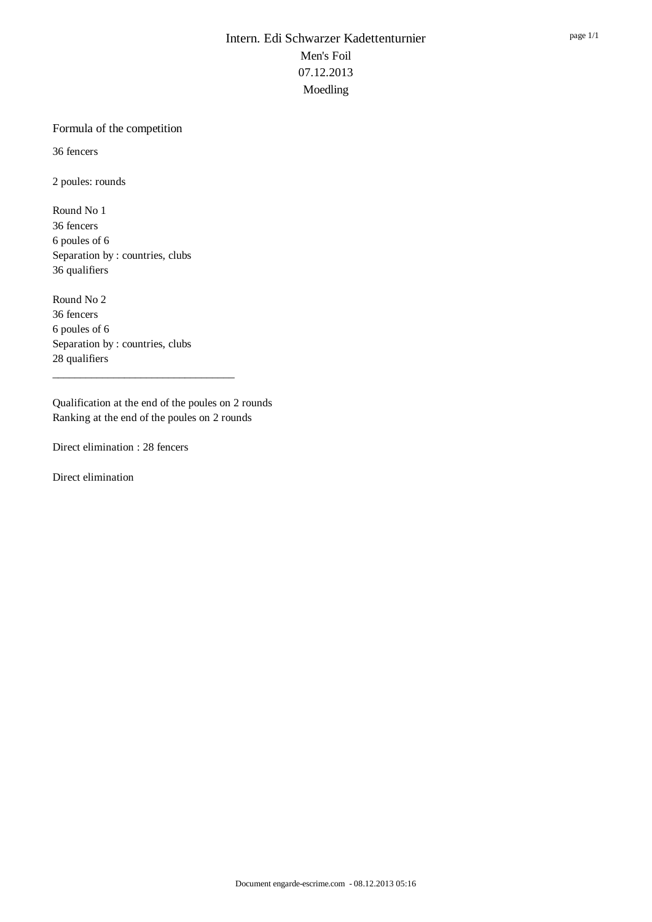#### Formula of the competition

36 fencers

2 poules: rounds

Round No 1 36 fencers 6 poules of 6 Separation by : countries, clubs 36 qualifiers

Round No 2 36 fencers 6 poules of 6 Separation by : countries, clubs 28 qualifiers

Qualification at the end of the poules on 2 rounds Ranking at the end of the poules on 2 rounds

\_\_\_\_\_\_\_\_\_\_\_\_\_\_\_\_\_\_\_\_\_\_\_\_\_\_\_\_\_\_\_\_\_

Direct elimination : 28 fencers

Direct elimination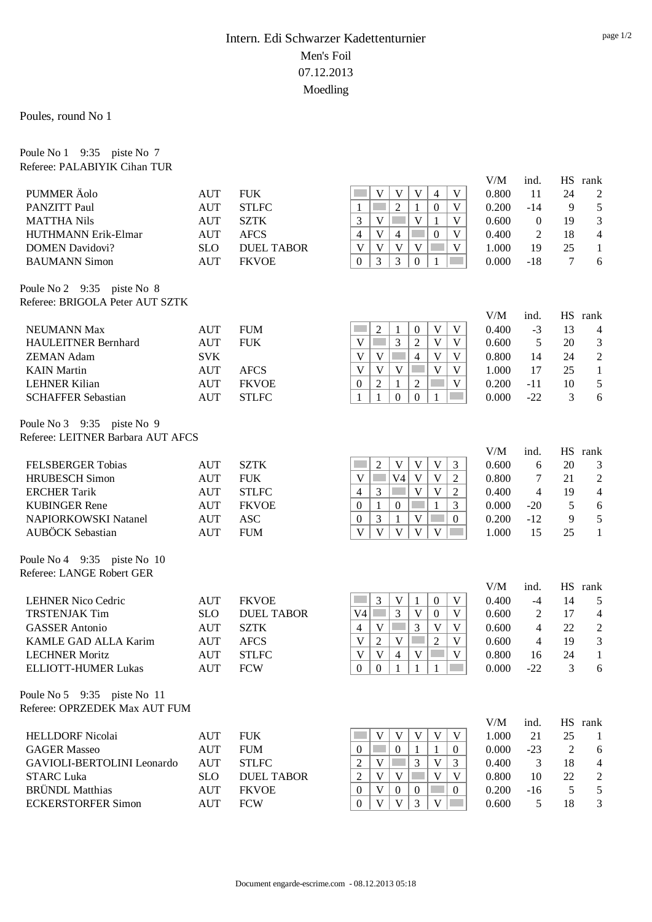Poules, round No 1

Poule No 1 9:35 piste No 7 Referee: PALABIYIK Cihan TUR

|                                                                 |                          |                                  |                                                                                                                                          | V/M            | ind.                             | HS             | rank                         |
|-----------------------------------------------------------------|--------------------------|----------------------------------|------------------------------------------------------------------------------------------------------------------------------------------|----------------|----------------------------------|----------------|------------------------------|
| PUMMER Äolo                                                     | <b>AUT</b>               | <b>FUK</b>                       | V<br>V<br>V<br>$\mathbf V$<br>4                                                                                                          | 0.800          | 11                               | 24             | 2                            |
| <b>PANZITT Paul</b>                                             | <b>AUT</b>               | <b>STLFC</b>                     | $\overline{2}$<br>$\boldsymbol{0}$<br>$\mathbf V$<br>$\mathbf{1}$<br>1                                                                   | 0.200          | $-14$                            | 9              | $\mathfrak s$                |
| <b>MATTHA Nils</b>                                              | <b>AUT</b>               | <b>SZTK</b>                      | $\overline{V}$<br>3<br>V<br>V<br>$\mathbf{1}$                                                                                            | 0.600          | $\overline{0}$                   | 19             | 3                            |
| HUTHMANN Erik-Elmar                                             | <b>AUT</b>               | <b>AFCS</b>                      | $\overline{4}$<br>$\mathbf{0}$<br>V<br>$\overline{4}$<br>V                                                                               | 0.400          | $\overline{c}$                   | 18             | 4                            |
| <b>DOMEN Davidovi?</b>                                          | <b>SLO</b>               | <b>DUEL TABOR</b>                | $\mathbf{V}$<br>$\mathbf V$<br>V<br>$\mathbf V$<br>V                                                                                     | 1.000          | 19                               | 25             | $\mathbf{1}$                 |
| <b>BAUMANN Simon</b>                                            | <b>AUT</b>               | <b>FKVOE</b>                     | 3<br>3<br>$\boldsymbol{0}$<br>$\mathbf{0}$<br>$\mathbf{1}$                                                                               | 0.000          | $-18$                            | $\tau$         | 6                            |
| Poule No 2 9:35 piste No 8<br>Referee: BRIGOLA Peter AUT SZTK   |                          |                                  |                                                                                                                                          |                |                                  |                |                              |
|                                                                 |                          |                                  |                                                                                                                                          | V/M            | ind.                             |                | HS rank                      |
| <b>NEUMANN Max</b>                                              | <b>AUT</b>               | <b>FUM</b>                       | $\overline{2}$<br>$\mathbf V$<br>1<br>$\boldsymbol{0}$<br>V                                                                              | 0.400          | $-3$                             | 13             | $\overline{4}$               |
| <b>HAULEITNER Bernhard</b>                                      | <b>AUT</b>               | <b>FUK</b>                       | 3<br>$\mathbf{V}$<br>V<br>$\mathbf{2}$<br>$\mathbf V$<br><b>Contract</b>                                                                 | 0.600          | 5                                | 20             | 3                            |
| <b>ZEMAN Adam</b>                                               | <b>SVK</b>               |                                  | V<br>$\mathbf V$<br>$\overline{4}$<br>V<br>$\mathbf V$                                                                                   | 0.800          | 14                               | 24             | $\overline{c}$               |
| <b>KAIN</b> Martin                                              | <b>AUT</b>               | <b>AFCS</b>                      | $\mathbf V$<br>V<br>V<br>V<br>$\mathbf V$                                                                                                | 1.000          | 17                               | 25             | $\mathbf{1}$                 |
| <b>LEHNER Kilian</b>                                            | <b>AUT</b>               | <b>FKVOE</b>                     | $\overline{2}$<br>$\mathbf V$<br>$\boldsymbol{0}$<br>$\mathbf{1}$<br>2                                                                   | 0.200          | $-11$                            | 10             | 5                            |
| <b>SCHAFFER Sebastian</b>                                       | <b>AUT</b>               | <b>STLFC</b>                     | $\mathbf{0}$<br>$\boldsymbol{0}$<br>1<br>1<br>1                                                                                          | 0.000          | $-22$                            | 3              | 6                            |
| Poule No 3 9:35 piste No 9<br>Referee: LEITNER Barbara AUT AFCS |                          |                                  |                                                                                                                                          |                |                                  |                |                              |
|                                                                 |                          |                                  |                                                                                                                                          | V/M            | ind.                             | <b>HS</b>      | rank                         |
| FELSBERGER Tobias                                               | <b>AUT</b>               | <b>SZTK</b>                      | $\overline{2}$<br>$\mathbf V$<br>V<br>$\mathbf V$<br>3                                                                                   | 0.600          | 6                                | 20             | 3                            |
| <b>HRUBESCH</b> Simon                                           | <b>AUT</b>               | <b>FUK</b>                       | $\mathbf{V}$<br>V <sub>4</sub><br>$\mathbf V$<br>$\mathbf V$<br>$\overline{2}$                                                           | 0.800          | 7                                | 21             | $\sqrt{2}$                   |
| <b>ERCHER Tarik</b>                                             | <b>AUT</b>               | <b>STLFC</b>                     | $\mathbf V$<br>$\mathbf V$<br>$\overline{4}$<br>3<br>$\overline{2}$                                                                      | 0.400          | $\overline{4}$                   | 19             | $\overline{\mathcal{A}}$     |
| <b>KUBINGER Rene</b>                                            | <b>AUT</b>               | <b>FKVOE</b>                     | $\mathbf{1}$<br>$\mathbf{1}$<br>$\boldsymbol{0}$<br>3<br>$\overline{0}$                                                                  | 0.000          | $-20$                            | 5              | 6                            |
| <b>NAPIORKOWSKI Natanel</b>                                     | <b>AUT</b>               | <b>ASC</b>                       | $\mathfrak{Z}$<br>$\mathbf{1}$<br>V<br>$\overline{0}$<br>$\mathbf{0}$                                                                    | 0.200          | $-12$                            | 9              | 5                            |
| <b>AUBÖCK</b> Sebastian                                         | <b>AUT</b>               | <b>FUM</b>                       | $\mathbf{V}$<br>$\overline{\mathsf{V}}$<br>$\mathbf{V}$<br>V<br>V                                                                        | 1.000          | 15                               | 25             | $\mathbf{1}$                 |
| Poule No 4 9:35 piste No 10                                     |                          |                                  |                                                                                                                                          |                |                                  |                |                              |
| Referee: LANGE Robert GER                                       |                          |                                  |                                                                                                                                          |                |                                  |                |                              |
|                                                                 |                          |                                  |                                                                                                                                          | V/M            | ind.                             |                | HS rank                      |
| <b>LEHNER Nico Cedric</b>                                       | <b>AUT</b>               | <b>FKVOE</b>                     | 3<br>V<br>$\boldsymbol{0}$<br>V<br>1<br>$\overline{3}$<br>$\overline{\mathbf{V}}$<br>V4<br>$\mathbf{0}$<br>$\mathbf V$<br><b>College</b> | 0.400          | $-4$                             | 14             | 5                            |
| <b>TRSTENJAK Tim</b><br><b>GASSER</b> Antonio                   | <b>SLO</b><br><b>AUT</b> | <b>DUEL TABOR</b><br><b>SZTK</b> | $\overline{3}$<br>$\mathbf V$<br>$\mathbf V$<br>$\mathbf V$<br>$\overline{4}$                                                            | 0.600<br>0.600 | $\overline{2}$<br>$\overline{4}$ | 17<br>22       | $\overline{4}$<br>$\sqrt{2}$ |
| KAMLE GAD ALLA Karim                                            | <b>AUT</b>               | <b>AFCS</b>                      | $\overline{2}$<br>V<br>$\overline{2}$<br>$\mathbf V$<br>V                                                                                | 0.600          | 4                                | 19             | 3                            |
| <b>LECHNER Moritz</b>                                           | <b>AUT</b>               | <b>STLFC</b>                     | V<br>V<br>V<br>V<br>4                                                                                                                    | 0.800          | 16                               | 24             | $\mathbf{1}$                 |
| ELLIOTT-HUMER Lukas                                             | <b>AUT</b>               | <b>FCW</b>                       | $\overline{0}$<br>$\begin{array}{c c} 0 \end{array}$<br>$\mathbf{1}$<br>$\mathbf{1}$<br>$\mathbf{1}$                                     | 0.000          | $-22$                            | 3              | 6                            |
| Poule No 5 9:35 piste No 11                                     |                          |                                  |                                                                                                                                          |                |                                  |                |                              |
| Referee: OPRZEDEK Max AUT FUM                                   |                          |                                  |                                                                                                                                          |                |                                  |                |                              |
|                                                                 |                          |                                  |                                                                                                                                          | V/M            | ind.                             |                | HS rank                      |
| <b>HELLDORF Nicolai</b>                                         | <b>AUT</b>               | <b>FUK</b>                       | V<br>V<br>V<br>V<br>V                                                                                                                    | 1.000          | 21                               | 25             | 1                            |
| <b>GAGER Masseo</b>                                             | <b>AUT</b>               | <b>FUM</b>                       | $\boldsymbol{0}$<br>$\mathbf{1}$<br>1<br>$\Omega$<br>$\overline{0}$                                                                      | 0.000          | $-23$                            | $\overline{c}$ | 6                            |
| GAVIOLI-BERTOLINI Leonardo                                      | <b>AUT</b>               | <b>STLFC</b>                     | 3<br>V<br>$\overline{c}$<br>V<br>$\mathfrak{Z}$                                                                                          | 0.400          | 3                                | 18             | $\overline{4}$               |
| <b>STARC Luka</b>                                               | <b>SLO</b>               | <b>DUEL TABOR</b>                | $\overline{2}$<br>V<br>V<br>V<br>$\mathbf V$                                                                                             | 0.800          | 10                               | 22             | $\overline{c}$               |
| <b>BRÜNDL</b> Matthias                                          | <b>AUT</b>               | <b>FKVOE</b>                     | $\mathbf V$<br>$\theta$<br>$\boldsymbol{0}$<br>$\mathbf{0}$<br>$\overline{0}$                                                            | 0.200          | $-16$                            | 5              | 5                            |
| <b>ECKERSTORFER Simon</b>                                       | <b>AUT</b>               | <b>FCW</b>                       | $\mathbf{V}$<br>$\mathbf V$<br>3<br>$\mathbf V$<br>$\overline{0}$                                                                        | 0.600          | 5                                | 18             | 3                            |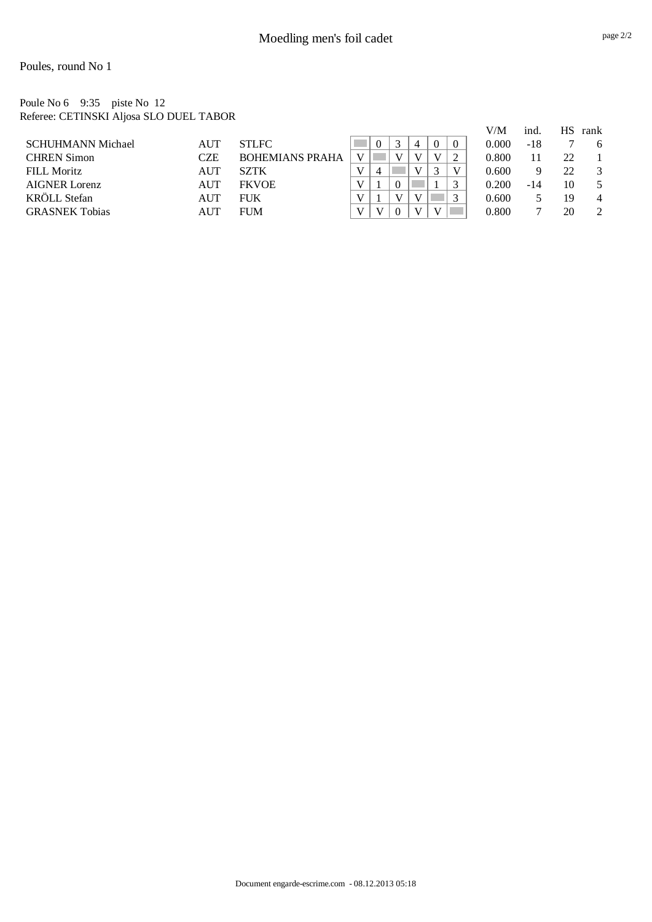Poules, round No 1

Poule No 6 9:35 piste No 12 Referee: CETINSKI Aljosa SLO DUEL TABOR

|                          |     |                        |              |                |  |          |          | V/M   | ind.  | НS | rank           |
|--------------------------|-----|------------------------|--------------|----------------|--|----------|----------|-------|-------|----|----------------|
| <b>SCHUHMANN Michael</b> | AUT | <b>STLFC</b>           |              |                |  | $\Omega$ | $\theta$ | 0.000 | -18   |    | 6              |
| <b>CHREN Simon</b>       | CZE | <b>BOHEMIANS PRAHA</b> | $\mathbf{V}$ |                |  |          |          | 0.800 | 11    | 22 |                |
| <b>FILL Moritz</b>       | AUT | SZTK                   |              | $\overline{4}$ |  |          | V        | 0.600 | Q     | 22 | 3              |
| <b>AIGNER Lorenz</b>     | AUT | <b>FKVOE</b>           |              |                |  |          |          | 0.200 | $-14$ | 10 |                |
| KRÖLL Stefan             | AUT | <b>FUK</b>             |              |                |  |          |          | 0.600 |       | 19 | 4              |
| <b>GRASNEK Tobias</b>    | AUT | <b>FUM</b>             |              |                |  |          |          | 0.800 |       | 20 | $\overline{c}$ |
|                          |     |                        |              |                |  |          |          |       |       |    |                |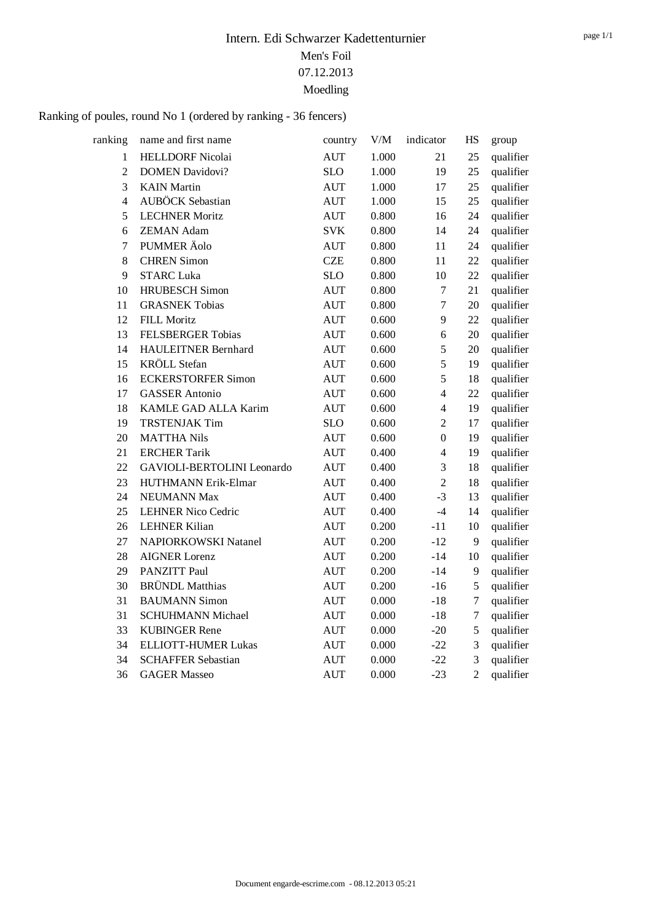# Ranking of poules, round No 1 (ordered by ranking - 36 fencers)

| ranking                 | name and first name         | country            | V/M   | indicator        | <b>HS</b>      | group     |
|-------------------------|-----------------------------|--------------------|-------|------------------|----------------|-----------|
| $\mathbf{1}$            | <b>HELLDORF Nicolai</b>     | <b>AUT</b>         | 1.000 | 21               | 25             | qualifier |
| $\overline{2}$          | <b>DOMEN Davidovi?</b>      | <b>SLO</b>         | 1.000 | 19               | 25             | qualifier |
| $\overline{3}$          | <b>KAIN</b> Martin          | <b>AUT</b>         | 1.000 | 17               | 25             | qualifier |
| $\overline{\mathbf{4}}$ | <b>AUBÖCK</b> Sebastian     | AUT                | 1.000 | 15               | 25             | qualifier |
| 5                       | <b>LECHNER Moritz</b>       | AUT                | 0.800 | 16               | 24             | qualifier |
| 6                       | <b>ZEMAN Adam</b>           | <b>SVK</b>         | 0.800 | 14               | 24             | qualifier |
| $\overline{7}$          | PUMMER Äolo                 | <b>AUT</b>         | 0.800 | 11               | 24             | qualifier |
| 8                       | <b>CHREN Simon</b>          | <b>CZE</b>         | 0.800 | 11               | 22             | qualifier |
| 9                       | <b>STARC Luka</b>           | <b>SLO</b>         | 0.800 | 10               | 22             | qualifier |
| 10                      | <b>HRUBESCH Simon</b>       | <b>AUT</b>         | 0.800 | $\tau$           | 21             | qualifier |
| 11                      | <b>GRASNEK Tobias</b>       | <b>AUT</b>         | 0.800 | $\boldsymbol{7}$ | 20             | qualifier |
| 12                      | <b>FILL Moritz</b>          | $\mathop{\rm AUT}$ | 0.600 | 9                | 22             | qualifier |
| 13                      | <b>FELSBERGER Tobias</b>    | <b>AUT</b>         | 0.600 | 6                | 20             | qualifier |
| 14                      | <b>HAULEITNER Bernhard</b>  | <b>AUT</b>         | 0.600 | 5                | 20             | qualifier |
| 15                      | <b>KRÖLL</b> Stefan         | <b>AUT</b>         | 0.600 | 5                | 19             | qualifier |
| 16                      | <b>ECKERSTORFER Simon</b>   | <b>AUT</b>         | 0.600 | 5                | 18             | qualifier |
| 17                      | <b>GASSER</b> Antonio       | <b>AUT</b>         | 0.600 | $\overline{4}$   | 22             | qualifier |
| 18                      | KAMLE GAD ALLA Karim        | <b>AUT</b>         | 0.600 | $\overline{4}$   | 19             | qualifier |
| 19                      | <b>TRSTENJAK Tim</b>        | <b>SLO</b>         | 0.600 | $\overline{c}$   | 17             | qualifier |
| 20                      | <b>MATTHA Nils</b>          | <b>AUT</b>         | 0.600 | $\boldsymbol{0}$ | 19             | qualifier |
| 21                      | <b>ERCHER Tarik</b>         | <b>AUT</b>         | 0.400 | $\overline{4}$   | 19             | qualifier |
| 22                      | GAVIOLI-BERTOLINI Leonardo  | <b>AUT</b>         | 0.400 | 3                | 18             | qualifier |
| 23                      | HUTHMANN Erik-Elmar         | <b>AUT</b>         | 0.400 | $\overline{2}$   | 18             | qualifier |
| 24                      | NEUMANN Max                 | <b>AUT</b>         | 0.400 | $-3$             | 13             | qualifier |
| 25                      | <b>LEHNER Nico Cedric</b>   | <b>AUT</b>         | 0.400 | $-4$             | 14             | qualifier |
| 26                      | <b>LEHNER Kilian</b>        | <b>AUT</b>         | 0.200 | $-11$            | 10             | qualifier |
| 27                      | <b>NAPIORKOWSKI Natanel</b> | <b>AUT</b>         | 0.200 | $-12$            | 9              | qualifier |
| 28                      | <b>AIGNER Lorenz</b>        | <b>AUT</b>         | 0.200 | $-14$            | 10             | qualifier |
| 29                      | <b>PANZITT Paul</b>         | <b>AUT</b>         | 0.200 | $-14$            | 9              | qualifier |
| 30                      | <b>BRÜNDL</b> Matthias      | <b>AUT</b>         | 0.200 | $-16$            | 5              | qualifier |
| 31                      | <b>BAUMANN Simon</b>        | <b>AUT</b>         | 0.000 | $-18$            | $\tau$         | qualifier |
| 31                      | <b>SCHUHMANN Michael</b>    | <b>AUT</b>         | 0.000 | $-18$            | $\tau$         | qualifier |
| 33                      | <b>KUBINGER Rene</b>        | <b>AUT</b>         | 0.000 | $-20$            | 5              | qualifier |
| 34                      | <b>ELLIOTT-HUMER Lukas</b>  | <b>AUT</b>         | 0.000 | $-22$            | 3              | qualifier |
| 34                      | <b>SCHAFFER Sebastian</b>   | <b>AUT</b>         | 0.000 | $-22$            | 3              | qualifier |
| 36                      | <b>GAGER Masseo</b>         | <b>AUT</b>         | 0.000 | $-23$            | $\overline{2}$ | qualifier |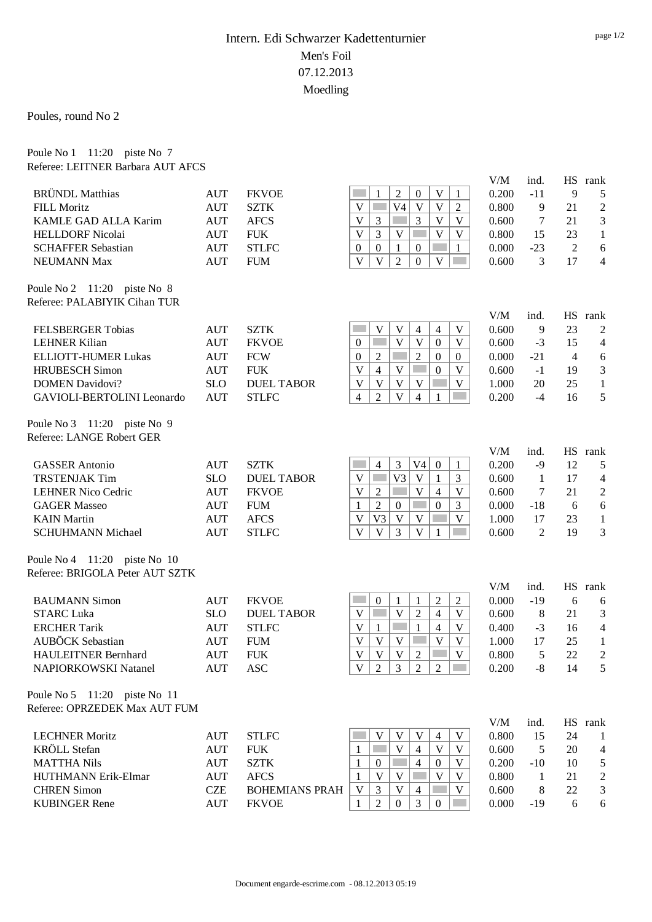Poules, round No 2

Poule No 1 11:20 piste No 7

| Referee: LEITNER Barbara AUT AFCS                       |            |                       |                                                                                       |       |                |                |                  |
|---------------------------------------------------------|------------|-----------------------|---------------------------------------------------------------------------------------|-------|----------------|----------------|------------------|
|                                                         |            |                       |                                                                                       | V/M   | ind.           | HS             | rank             |
| <b>BRÜNDL</b> Matthias                                  | <b>AUT</b> | <b>FKVOE</b>          | $\mathbf{2}$<br>V<br>$\boldsymbol{0}$<br>1<br>1                                       | 0.200 | $-11$          | 9              | 5                |
| <b>FILL Moritz</b>                                      | <b>AUT</b> | <b>SZTK</b>           | V <sub>4</sub><br>V<br>$\mathbf{V}$<br>V<br>$\overline{2}$                            | 0.800 | 9              | 21             | $\overline{2}$   |
| KAMLE GAD ALLA Karim                                    | <b>AUT</b> | <b>AFCS</b>           | $\overline{3}$<br>$\mathbf{V}$<br>V<br>3<br>$\mathbf V$                               | 0.600 | 7              | 21             | 3                |
| <b>HELLDORF Nicolai</b>                                 | <b>AUT</b> | <b>FUK</b>            | $\overline{3}$<br>$\overline{\mathbf{V}}$<br>V<br>$\mathbf V$<br>V                    | 0.800 | 15             | 23             | $\mathbf{1}$     |
| <b>SCHAFFER Sebastian</b>                               | <b>AUT</b> | <b>STLFC</b>          | $\boldsymbol{0}$<br>1<br>$\boldsymbol{0}$<br>1<br>$\overline{0}$                      | 0.000 | $-23$          | $\overline{2}$ | 6                |
| <b>NEUMANN Max</b>                                      | <b>AUT</b> | <b>FUM</b>            | $\mathbf{V}$<br>$\mathbf{V}$<br>$\overline{2}$<br>$\mathbf V$<br>$\Omega$             | 0.600 | 3              | 17             | $\overline{4}$   |
| Poule No $2 \quad 11:20$ piste No 8                     |            |                       |                                                                                       |       |                |                |                  |
| Referee: PALABIYIK Cihan TUR                            |            |                       |                                                                                       |       |                |                |                  |
|                                                         |            |                       |                                                                                       | V/M   | ind.           |                | HS rank          |
| <b>FELSBERGER Tobias</b>                                | <b>AUT</b> | <b>SZTK</b>           | V<br>V<br>$\overline{4}$<br>$\overline{4}$<br>V                                       | 0.600 | 9              | 23             | $\boldsymbol{2}$ |
| <b>LEHNER Kilian</b>                                    | <b>AUT</b> | <b>FKVOE</b>          | $\mathbf{V}$<br>V<br><b>College</b><br>$\boldsymbol{0}$<br>V<br>$\overline{0}$        | 0.600 | $-3$           | 15             | $\overline{4}$   |
| <b>ELLIOTT-HUMER Lukas</b>                              | <b>AUT</b> | <b>FCW</b>            | $\overline{2}$<br>2<br>$\boldsymbol{0}$<br>$\overline{0}$<br>$\overline{0}$           | 0.000 | $-21$          | $\overline{4}$ | 6                |
| <b>HRUBESCH Simon</b>                                   | <b>AUT</b> | <b>FUK</b>            | $\mathbf{V}$<br>$\overline{4}$<br>$\mathbf V$<br>$\boldsymbol{0}$<br>V                | 0.600 | $-1$           | 19             | 3                |
| <b>DOMEN Davidovi?</b>                                  | <b>SLO</b> | <b>DUEL TABOR</b>     | $\mathbf{V}$<br>$\mathbf V$<br>$\mathbf{V}$<br>V<br>V                                 | 1.000 | 20             | 25             | $\mathbf{1}$     |
| GAVIOLI-BERTOLINI Leonardo                              | <b>AUT</b> | <b>STLFC</b>          | $\overline{\mathbf{V}}$<br>$\overline{2}$<br>$\overline{4}$<br>$\overline{4}$<br>1    | 0.200 | $-4$           | 16             | 5                |
| Poule No $3 \quad 11:20$ piste No 9                     |            |                       |                                                                                       |       |                |                |                  |
| Referee: LANGE Robert GER                               |            |                       |                                                                                       |       |                |                |                  |
|                                                         |            |                       |                                                                                       | V/M   | ind.           |                | HS rank          |
| <b>GASSER</b> Antonio                                   | <b>AUT</b> | <b>SZTK</b>           | $\overline{4}$<br>3<br>V <sub>4</sub><br>$\mathbf{0}$<br>1                            | 0.200 | $-9$           | 12             | 5                |
| <b>TRSTENJAK Tim</b>                                    | <b>SLO</b> | <b>DUEL TABOR</b>     | V <sub>3</sub><br>V<br><b>College</b><br>V<br>$\mathbf{1}$<br>3                       | 0.600 | $\mathbf{1}$   | 17             | $\overline{4}$   |
| <b>LEHNER Nico Cedric</b>                               | <b>AUT</b> | <b>FKVOE</b>          | $\overline{2}$<br>V<br>V<br>$\overline{4}$<br>V                                       | 0.600 | $\tau$         | 21             | $\sqrt{2}$       |
| <b>GAGER Masseo</b>                                     | <b>AUT</b> | <b>FUM</b>            | $\overline{2}$<br>$\boldsymbol{0}$<br>3<br>$\mathbf{1}$<br>$\mathbf{0}$               | 0.000 | $-18$          | 6              | 6                |
| <b>KAIN</b> Martin                                      | <b>AUT</b> | <b>AFCS</b>           | V <sub>3</sub><br>$\mathbf V$<br>V<br>V<br>V                                          | 1.000 | 17             | 23             | $\mathbf{1}$     |
| <b>SCHUHMANN Michael</b>                                | <b>AUT</b> | <b>STLFC</b>          | V<br>V<br>3<br>V<br>1                                                                 | 0.600 | 2              | 19             | 3                |
| Poule No 4 11:20 piste No 10                            |            |                       |                                                                                       |       |                |                |                  |
| Referee: BRIGOLA Peter AUT SZTK                         |            |                       |                                                                                       |       |                |                |                  |
|                                                         |            |                       |                                                                                       | V/M   | ind.           |                | HS rank          |
| <b>BAUMANN</b> Simon                                    | <b>AUT</b> | <b>FKVOE</b>          | $\mathbf{1}$<br>$\overline{2}$<br>$\boldsymbol{0}$<br>$\overline{2}$<br>1             | 0.000 | $-19$          | 6              | 6                |
| <b>STARC Luka</b>                                       | <b>SLO</b> | <b>DUEL TABOR</b>     | $\overline{2}$<br>V<br>$\mathbf V$<br>$\overline{4}$<br><b>College</b><br>V           | 0.600 | 8              | 21             | 3                |
| <b>ERCHER Tarik</b>                                     | <b>AUT</b> | <b>STLFC</b>          | $\mathcal{L}^{\text{max}}$<br>V<br>$\mathbf{1}$<br>$\overline{4}$<br>$\mathbf V$<br>1 | 0.400 | $-3$           | 16             | $\overline{4}$   |
| <b>AUBÖCK</b> Sebastian                                 | <b>AUT</b> | <b>FUM</b>            | $\mathbf V$<br>$\mathbf{V}$<br>V<br>$\mathbf V$<br>$\mathbf V$                        | 1.000 | 17             | 25             | $\mathbf{1}$     |
| HAULEITNER Bernhard                                     | <b>AUT</b> | <b>FUK</b>            | $V$ $V$ $V$ $2$<br>$\mid$ V                                                           | 0.800 | $\overline{5}$ | 22             | $\overline{2}$   |
| NAPIORKOWSKI Natanel                                    | <b>AUT</b> | <b>ASC</b>            | $\overline{2}$<br>3<br>$\overline{2}$<br>V<br>2                                       | 0.200 | $-8$           | 14             | 5                |
| Poule No $5 \quad 11:20 \quad \text{piste No} \quad 11$ |            |                       |                                                                                       |       |                |                |                  |
| Referee: OPRZEDEK Max AUT FUM                           |            |                       |                                                                                       |       |                |                |                  |
|                                                         |            |                       |                                                                                       | V/M   | ind.           |                | HS rank          |
| <b>LECHNER Moritz</b>                                   | <b>AUT</b> | <b>STLFC</b>          | V<br>V<br>V<br>V<br>4                                                                 | 0.800 | 15             | 24             | 1                |
| <b>KRÖLL</b> Stefan                                     | <b>AUT</b> | <b>FUK</b>            | $\mathbf V$<br>V<br>$\overline{4}$<br>V<br>1                                          | 0.600 | 5              | 20             | $\overline{4}$   |
| <b>MATTHA Nils</b>                                      | <b>AUT</b> | <b>SZTK</b>           | $\overline{4}$<br>$\boldsymbol{0}$<br>$\overline{0}$<br>V<br>1                        | 0.200 | $-10$          | 10             | 5                |
| HUTHMANN Erik-Elmar                                     | <b>AUT</b> | <b>AFCS</b>           | V<br>V<br>V<br>V<br>1                                                                 | 0.800 | $\mathbf{1}$   | 21             | $\boldsymbol{2}$ |
| <b>CHREN Simon</b>                                      | <b>CZE</b> | <b>BOHEMIANS PRAH</b> | V<br>$\mathfrak{Z}$<br>V<br>V<br>$\overline{4}$                                       | 0.600 | 8              | 22             | 3                |
| <b>KUBINGER Rene</b>                                    | <b>AUT</b> | <b>FKVOE</b>          | $\mathfrak{2}$<br>3<br>$\mathbf{0}$<br>1<br>$\overline{0}$                            | 0.000 | $-19$          | 6              | 6                |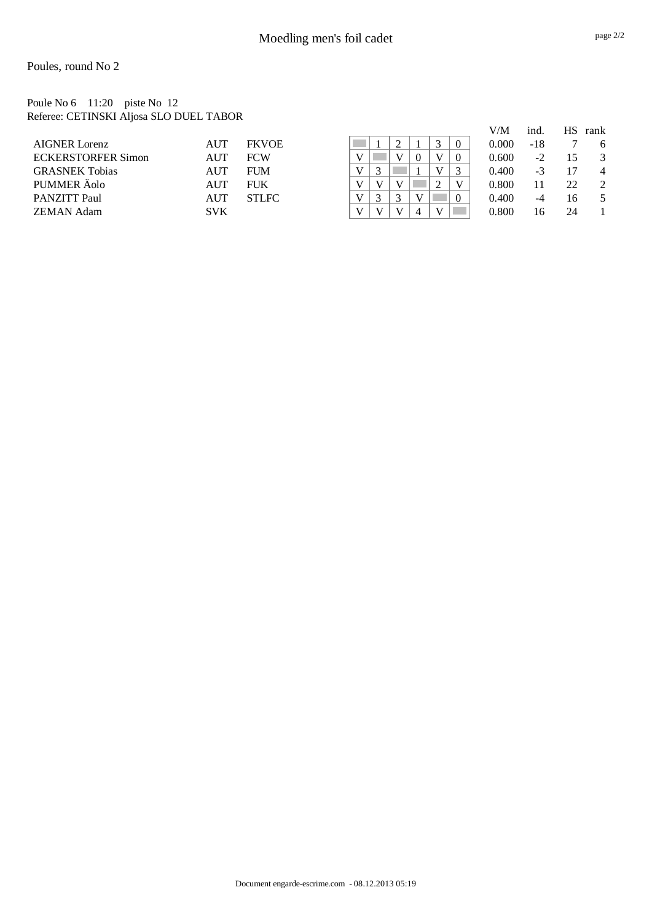Poules, round No 2

Poule No 6 11:20 piste No 12 Referee: CETINSKI Aljosa SLO DUEL TABOR

|                           |            |              |  |              |          |  | V/M   | ind. | НS | rank |
|---------------------------|------------|--------------|--|--------------|----------|--|-------|------|----|------|
| <b>AIGNER Lorenz</b>      | AUT        | <b>FKVOE</b> |  |              |          |  | 0.000 | -18  |    | 6    |
| <b>ECKERSTORFER Simon</b> | <b>AUT</b> | <b>FCW</b>   |  |              | $\Omega$ |  | 0.600 | $-2$ | 15 |      |
| <b>GRASNEK Tobias</b>     | <b>AUT</b> | <b>FUM</b>   |  | ◠            |          |  | 0.400 | $-3$ |    | 4    |
| PUMMER Äolo               | AUT        | <b>FUK</b>   |  |              |          |  | 0.800 |      | 22 | 2    |
| <b>PANZITT Paul</b>       | AUT        | <b>STLFC</b> |  | ⌒            |          |  | 0.400 | -4   | 16 |      |
| <b>ZEMAN Adam</b>         | <b>SVK</b> |              |  | $\mathbf{V}$ | Δ        |  | 0.800 | 16   | 24 |      |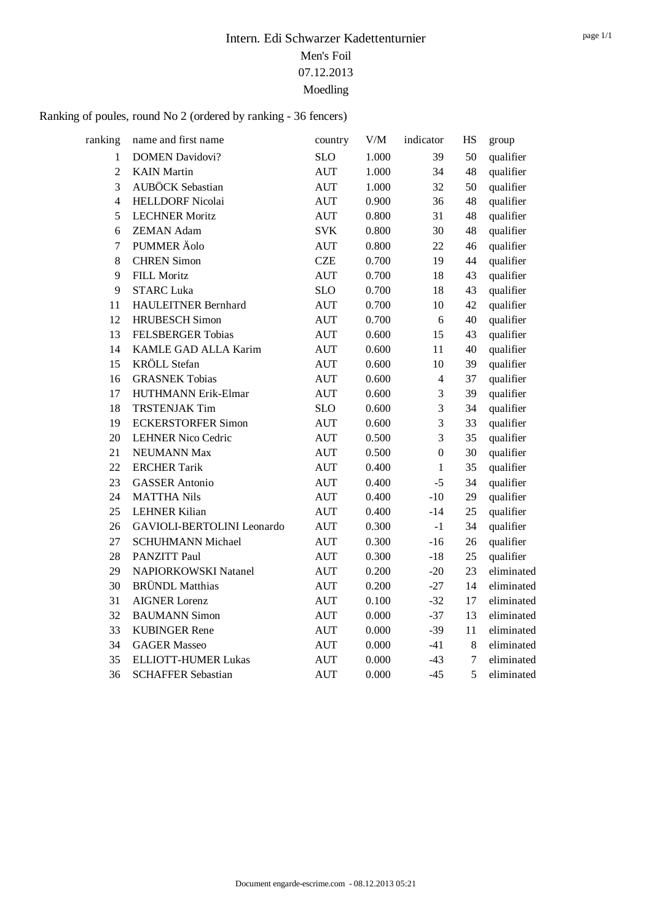# Ranking of poules, round No 2 (ordered by ranking - 36 fencers)

| ranking        | name and first name               | country    | V/M   | indicator        | <b>HS</b> | group      |
|----------------|-----------------------------------|------------|-------|------------------|-----------|------------|
| 1              | <b>DOMEN Davidovi?</b>            | <b>SLO</b> | 1.000 | 39               | 50        | qualifier  |
| $\overline{2}$ | <b>KAIN</b> Martin                | <b>AUT</b> | 1.000 | 34               | 48        | qualifier  |
| $\overline{3}$ | AUBÖCK Sebastian                  | <b>AUT</b> | 1.000 | 32               | 50        | qualifier  |
| $\overline{4}$ | <b>HELLDORF Nicolai</b>           | <b>AUT</b> | 0.900 | 36               | 48        | qualifier  |
| 5              | <b>LECHNER Moritz</b>             | <b>AUT</b> | 0.800 | 31               | 48        | qualifier  |
| 6              | <b>ZEMAN Adam</b>                 | <b>SVK</b> | 0.800 | 30               | 48        | qualifier  |
| $\overline{7}$ | PUMMER Äolo                       | <b>AUT</b> | 0.800 | 22               | 46        | qualifier  |
| $8\,$          | <b>CHREN Simon</b>                | <b>CZE</b> | 0.700 | 19               | 44        | qualifier  |
| 9              | <b>FILL Moritz</b>                | <b>AUT</b> | 0.700 | 18               | 43        | qualifier  |
| 9              | <b>STARC Luka</b>                 | <b>SLO</b> | 0.700 | 18               | 43        | qualifier  |
| 11             | <b>HAULEITNER Bernhard</b>        | <b>AUT</b> | 0.700 | 10               | 42        | qualifier  |
| 12             | <b>HRUBESCH</b> Simon             | <b>AUT</b> | 0.700 | 6                | 40        | qualifier  |
| 13             | <b>FELSBERGER Tobias</b>          | <b>AUT</b> | 0.600 | 15               | 43        | qualifier  |
| 14             | KAMLE GAD ALLA Karim              | <b>AUT</b> | 0.600 | 11               | 40        | qualifier  |
| 15             | <b>KRÖLL</b> Stefan               | <b>AUT</b> | 0.600 | 10               | 39        | qualifier  |
| 16             | <b>GRASNEK Tobias</b>             | <b>AUT</b> | 0.600 | $\overline{4}$   | 37        | qualifier  |
| 17             | HUTHMANN Erik-Elmar               | <b>AUT</b> | 0.600 | 3                | 39        | qualifier  |
| 18             | <b>TRSTENJAK Tim</b>              | <b>SLO</b> | 0.600 | 3                | 34        | qualifier  |
| 19             | <b>ECKERSTORFER Simon</b>         | <b>AUT</b> | 0.600 | 3                | 33        | qualifier  |
| 20             | <b>LEHNER Nico Cedric</b>         | <b>AUT</b> | 0.500 | 3                | 35        | qualifier  |
| 21             | <b>NEUMANN Max</b>                | <b>AUT</b> | 0.500 | $\boldsymbol{0}$ | 30        | qualifier  |
| 22             | <b>ERCHER Tarik</b>               | <b>AUT</b> | 0.400 | $\mathbf{1}$     | 35        | qualifier  |
| 23             | <b>GASSER</b> Antonio             | <b>AUT</b> | 0.400 | $-5$             | 34        | qualifier  |
| 24             | <b>MATTHA Nils</b>                | <b>AUT</b> | 0.400 | $-10$            | 29        | qualifier  |
| 25             | <b>LEHNER Kilian</b>              | <b>AUT</b> | 0.400 | $-14$            | 25        | qualifier  |
| 26             | <b>GAVIOLI-BERTOLINI</b> Leonardo | <b>AUT</b> | 0.300 | $-1$             | 34        | qualifier  |
| 27             | <b>SCHUHMANN Michael</b>          | <b>AUT</b> | 0.300 | $-16$            | 26        | qualifier  |
| 28             | PANZITT Paul                      | <b>AUT</b> | 0.300 | $-18$            | 25        | qualifier  |
| 29             | NAPIORKOWSKI Natanel              | <b>AUT</b> | 0.200 | $-20$            | 23        | eliminated |
| 30             | <b>BRÜNDL</b> Matthias            | <b>AUT</b> | 0.200 | $-27$            | 14        | eliminated |
| 31             | <b>AIGNER Lorenz</b>              | <b>AUT</b> | 0.100 | $-32$            | 17        | eliminated |
| 32             | <b>BAUMANN Simon</b>              | <b>AUT</b> | 0.000 | $-37$            | 13        | eliminated |
| 33             | <b>KUBINGER Rene</b>              | <b>AUT</b> | 0.000 | $-39$            | 11        | eliminated |
| 34             | <b>GAGER Masseo</b>               | <b>AUT</b> | 0.000 | $-41$            | 8         | eliminated |
| 35             | <b>ELLIOTT-HUMER Lukas</b>        | <b>AUT</b> | 0.000 | $-43$            | $\tau$    | eliminated |
| 36             | <b>SCHAFFER Sebastian</b>         | <b>AUT</b> | 0.000 | $-45$            | 5         | eliminated |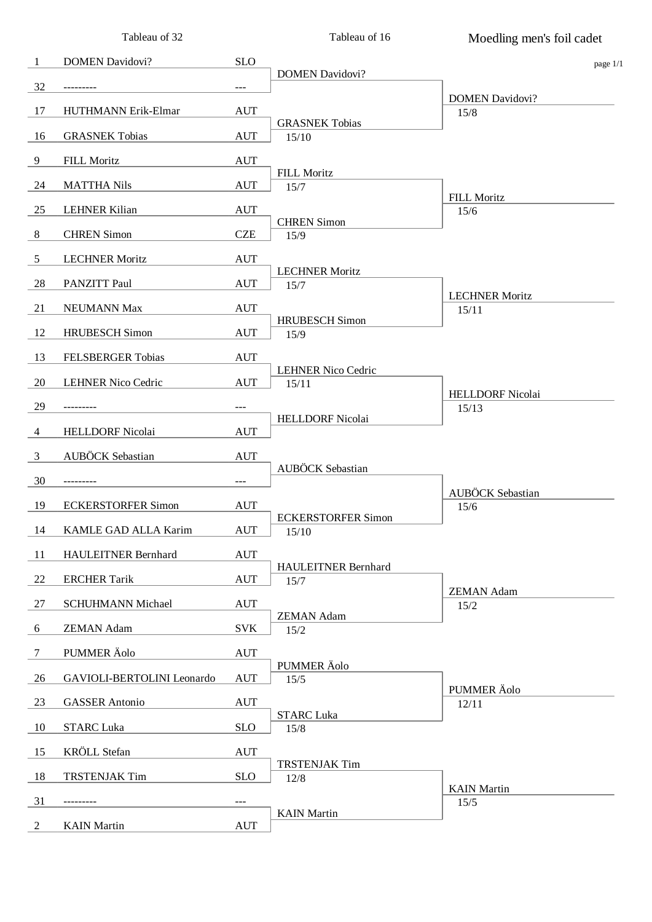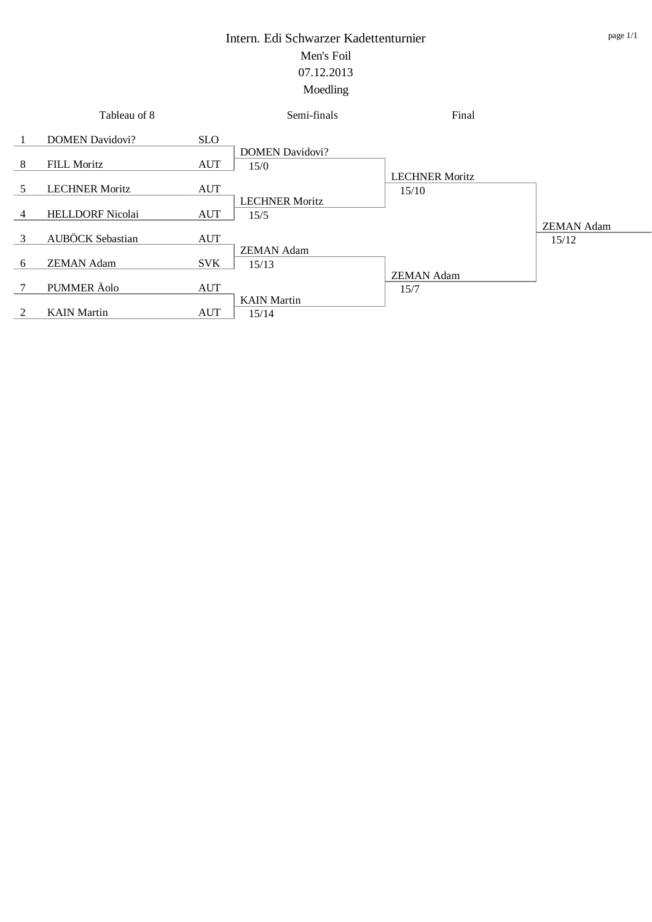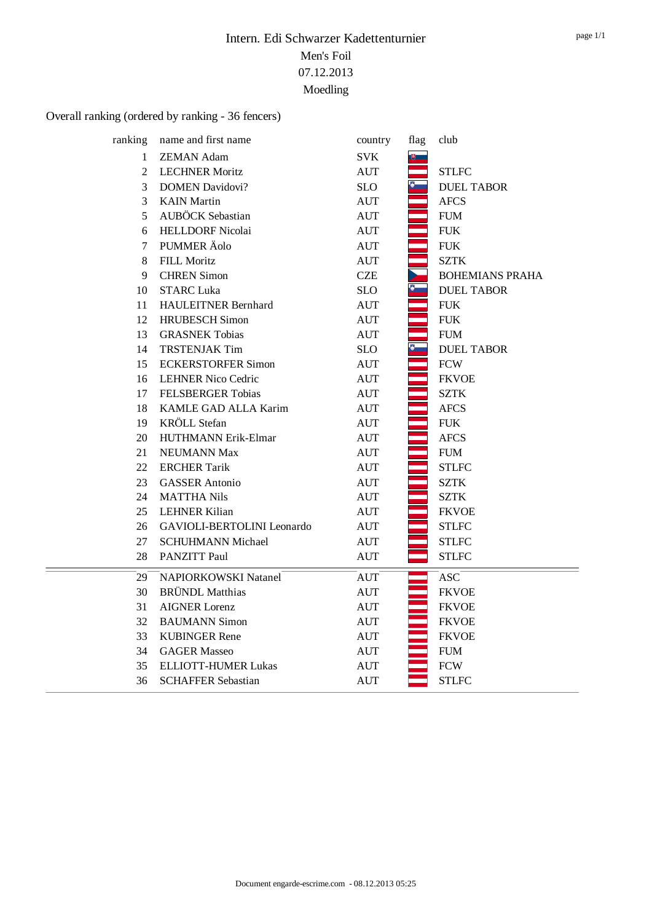# Overall ranking (ordered by ranking - 36 fencers)

| ranking      | name and first name        | country            | flag | club                   |
|--------------|----------------------------|--------------------|------|------------------------|
| $\mathbf{1}$ | <b>ZEMAN Adam</b>          | <b>SVK</b>         |      |                        |
| 2            | <b>LECHNER Moritz</b>      | <b>AUT</b>         |      | <b>STLFC</b>           |
| 3            | <b>DOMEN Davidovi?</b>     | <b>SLO</b>         |      | <b>DUEL TABOR</b>      |
| 3            | <b>KAIN</b> Martin         | <b>AUT</b>         |      | <b>AFCS</b>            |
| 5            | <b>AUBÖCK</b> Sebastian    | <b>AUT</b>         |      | <b>FUM</b>             |
| 6            | <b>HELLDORF Nicolai</b>    | <b>AUT</b>         |      | <b>FUK</b>             |
| 7            | PUMMER Äolo                | <b>AUT</b>         |      | ${\rm FUK}$            |
| 8            | <b>FILL Moritz</b>         | <b>AUT</b>         |      | <b>SZTK</b>            |
| 9            | <b>CHREN</b> Simon         | <b>CZE</b>         |      | <b>BOHEMIANS PRAHA</b> |
| 10           | <b>STARC Luka</b>          | <b>SLO</b>         |      | <b>DUEL TABOR</b>      |
| 11           | <b>HAULEITNER Bernhard</b> | <b>AUT</b>         |      | <b>FUK</b>             |
| 12           | <b>HRUBESCH</b> Simon      | <b>AUT</b>         |      | ${\rm FUK}$            |
| 13           | <b>GRASNEK Tobias</b>      | <b>AUT</b>         |      | <b>FUM</b>             |
| 14           | <b>TRSTENJAK Tim</b>       | <b>SLO</b>         |      | <b>DUEL TABOR</b>      |
| 15           | <b>ECKERSTORFER Simon</b>  | <b>AUT</b>         |      | <b>FCW</b>             |
| 16           | <b>LEHNER Nico Cedric</b>  | <b>AUT</b>         |      | <b>FKVOE</b>           |
| 17           | <b>FELSBERGER Tobias</b>   | <b>AUT</b>         |      | <b>SZTK</b>            |
| 18           | KAMLE GAD ALLA Karim       | $\mathop{\rm AUT}$ |      | <b>AFCS</b>            |
| 19           | <b>KRÖLL</b> Stefan        | <b>AUT</b>         |      | <b>FUK</b>             |
| 20           | HUTHMANN Erik-Elmar        | <b>AUT</b>         |      | <b>AFCS</b>            |
| 21           | <b>NEUMANN Max</b>         | <b>AUT</b>         |      | <b>FUM</b>             |
| 22           | <b>ERCHER Tarik</b>        | <b>AUT</b>         |      | <b>STLFC</b>           |
| 23           | <b>GASSER</b> Antonio      | <b>AUT</b>         |      | <b>SZTK</b>            |
| 24           | <b>MATTHA Nils</b>         | <b>AUT</b>         |      | <b>SZTK</b>            |
| 25           | <b>LEHNER Kilian</b>       | <b>AUT</b>         |      | <b>FKVOE</b>           |
| 26           | GAVIOLI-BERTOLINI Leonardo | <b>AUT</b>         |      | <b>STLFC</b>           |
| 27           | <b>SCHUHMANN Michael</b>   | <b>AUT</b>         |      | <b>STLFC</b>           |
| 28           | PANZITT Paul               | <b>AUT</b>         |      | <b>STLFC</b>           |
| 29           | NAPIORKOWSKI Natanel       | <b>AUT</b>         |      | <b>ASC</b>             |
| 30           | <b>BRÜNDL</b> Matthias     | <b>AUT</b>         |      | <b>FKVOE</b>           |
| 31           | <b>AIGNER Lorenz</b>       | <b>AUT</b>         |      | <b>FKVOE</b>           |
| 32           | <b>BAUMANN Simon</b>       | <b>AUT</b>         |      | <b>FKVOE</b>           |
| 33           | <b>KUBINGER Rene</b>       | <b>AUT</b>         |      | <b>FKVOE</b>           |
| 34           | <b>GAGER Masseo</b>        | <b>AUT</b>         |      | <b>FUM</b>             |
| 35           | ELLIOTT-HUMER Lukas        | <b>AUT</b>         |      | <b>FCW</b>             |
| 36           | <b>SCHAFFER Sebastian</b>  | AUT                |      | <b>STLFC</b>           |